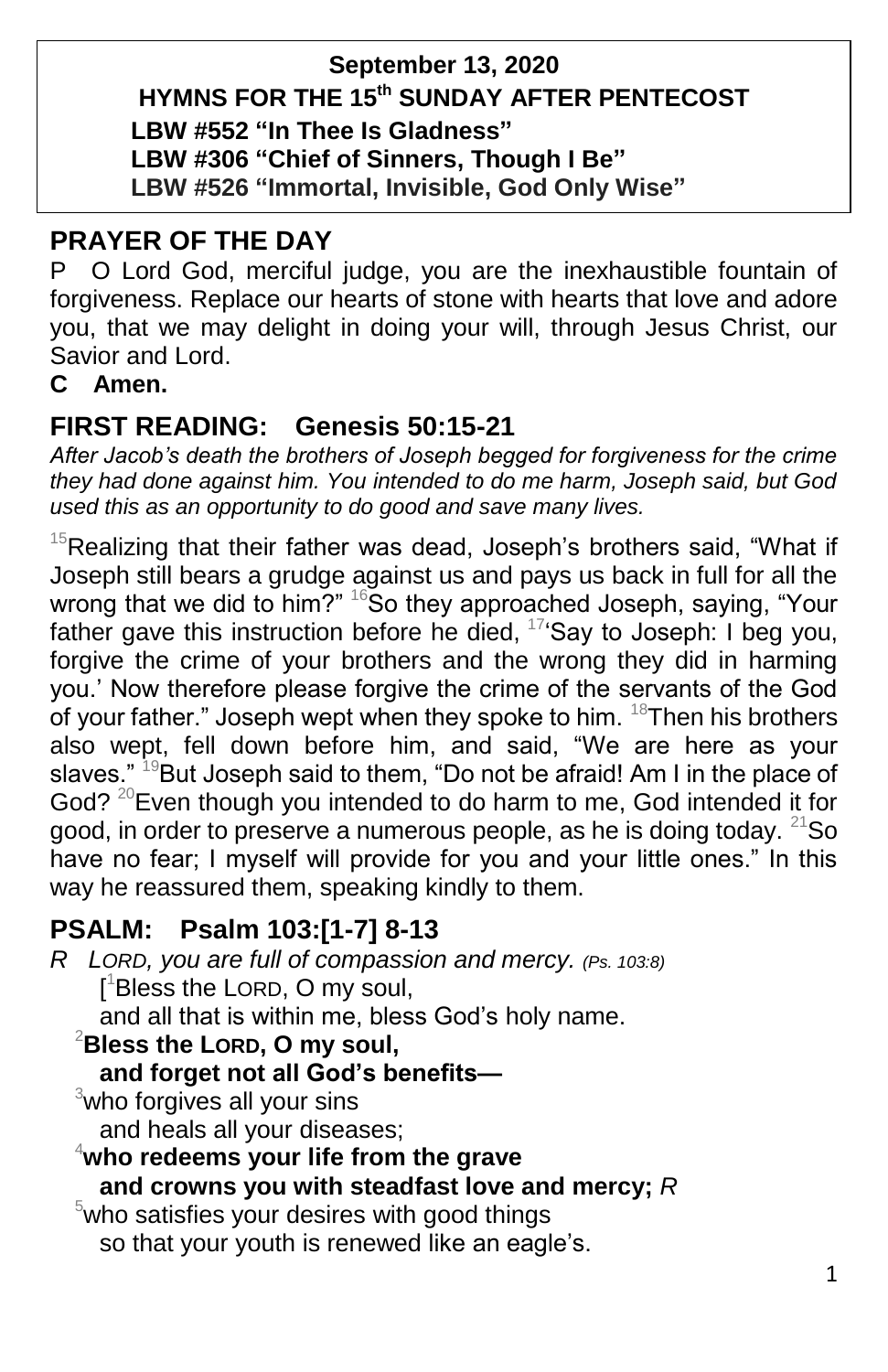## **September 13, 2020**

# **HYMNS FOR THE 15 th SUNDAY AFTER PENTECOST**

**LBW #552 "In Thee Is Gladness"**

**LBW #306 "Chief of Sinners, Though I Be"**

**LBW #526 "Immortal, Invisible, God Only Wise"**

# **PRAYER OF THE DAY**

P O Lord God, merciful judge, you are the inexhaustible fountain of forgiveness. Replace our hearts of stone with hearts that love and adore you, that we may delight in doing your will, through Jesus Christ, our Savior and Lord.

## **C Amen.**

# **FIRST READING: Genesis 50:15-21**

*After Jacob's death the brothers of Joseph begged for forgiveness for the crime they had done against him. You intended to do me harm, Joseph said, but God used this as an opportunity to do good and save many lives.*

 $15$ Realizing that their father was dead, Joseph's brothers said, "What if Joseph still bears a grudge against us and pays us back in full for all the wrong that we did to him?"  $16S$ o they approached Joseph, saying, "Your father gave this instruction before he died,  $17$  Say to Joseph: I beg you, forgive the crime of your brothers and the wrong they did in harming you.' Now therefore please forgive the crime of the servants of the God of your father." Joseph wept when they spoke to him.  $18$ Then his brothers also wept, fell down before him, and said, "We are here as your slaves." <sup>19</sup>But Joseph said to them, "Do not be afraid! Am I in the place of God?  $^{20}$  Even though you intended to do harm to me, God intended it for good, in order to preserve a numerous people, as he is doing today.  $21$ So have no fear; I myself will provide for you and your little ones." In this way he reassured them, speaking kindly to them.

# **PSALM: Psalm 103:[1-7] 8-13**

*R LORD, you are full of compassion and mercy. (Ps. 103:8)* [ <sup>1</sup>Bless the LORD, O my soul, and all that is within me, bless God's holy name. <sup>2</sup>**Bless the LORD, O my soul, and forget not all God's benefits—** <sup>3</sup>who forgives all your sins and heals all your diseases; <sup>4</sup>**who redeems your life from the grave and crowns you with steadfast love and mercy;** *R*  $5$ who satisfies your desires with good things

so that your youth is renewed like an eagle's.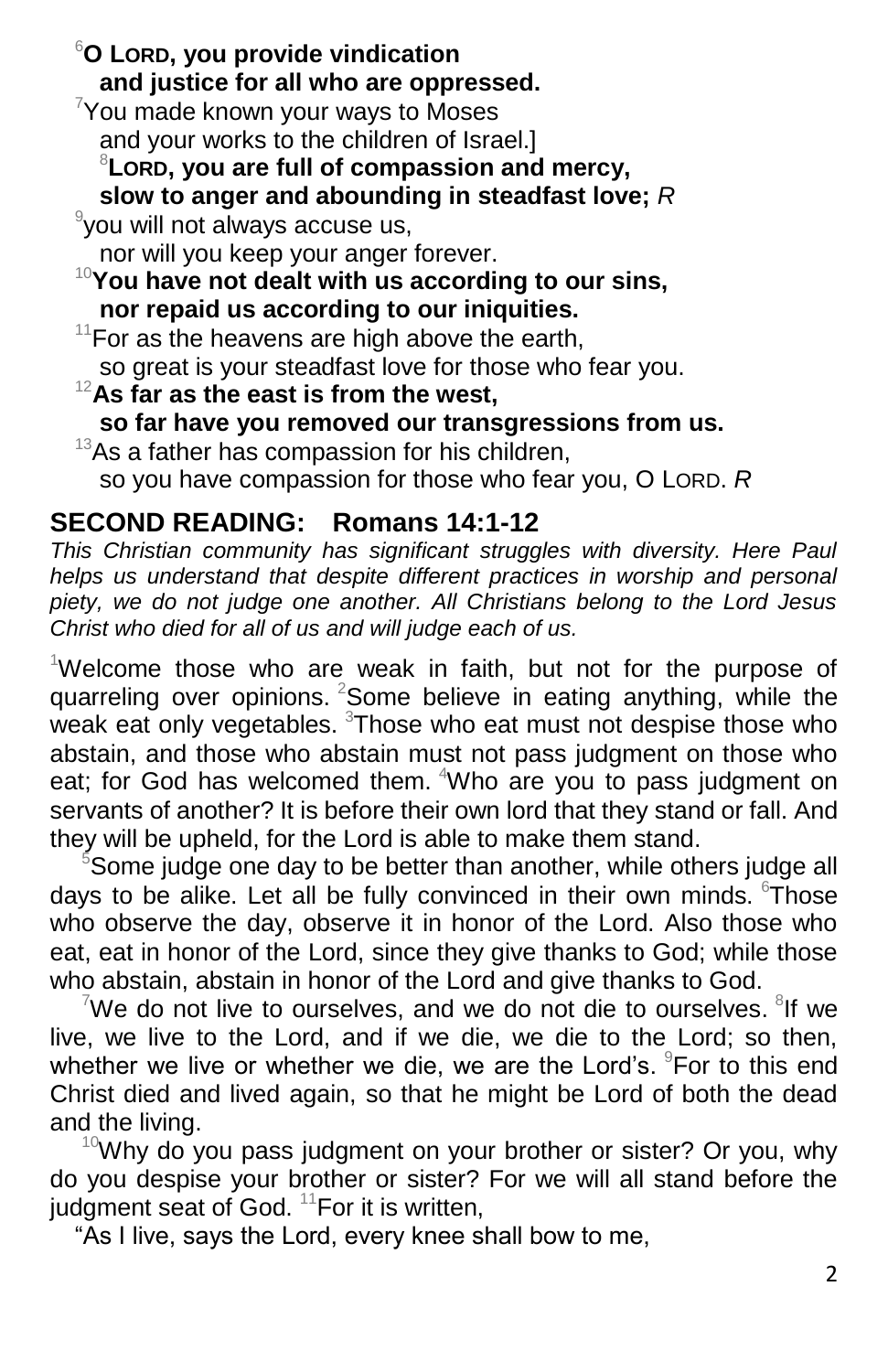<sup>6</sup>**O LORD, you provide vindication and justice for all who are oppressed.**

 $7$ You made known your ways to Moses and your works to the children of Israel.]

<sup>8</sup>**LORD, you are full of compassion and mercy,**

**slow to anger and abounding in steadfast love;** *R*

9 you will not always accuse us,

nor will you keep your anger forever. <sup>10</sup>**You have not dealt with us according to our sins, nor repaid us according to our iniquities.**

 $11$  For as the heavens are high above the earth, so great is your steadfast love for those who fear you.

<sup>12</sup>**As far as the east is from the west, so far have you removed our transgressions from us.**  $13$ As a father has compassion for his children,

so you have compassion for those who fear you, O LORD. *R*

# **SECOND READING: Romans 14:1-12**

*This Christian community has significant struggles with diversity. Here Paul helps us understand that despite different practices in worship and personal piety, we do not judge one another. All Christians belong to the Lord Jesus Christ who died for all of us and will judge each of us.*

<sup>1</sup>Welcome those who are weak in faith, but not for the purpose of quarreling over opinions.  $2$ Some believe in eating anything, while the weak eat only vegetables. <sup>3</sup>Those who eat must not despise those who abstain, and those who abstain must not pass judgment on those who eat; for God has welcomed them. <sup>4</sup>Who are you to pass judgment on servants of another? It is before their own lord that they stand or fall. And they will be upheld, for the Lord is able to make them stand.

<sup>5</sup>Some judge one day to be better than another, while others judge all days to be alike. Let all be fully convinced in their own minds. Those who observe the day, observe it in honor of the Lord. Also those who eat, eat in honor of the Lord, since they give thanks to God; while those who abstain, abstain in honor of the Lord and give thanks to God.

We do not live to ourselves, and we do not die to ourselves.  $8$ If we live, we live to the Lord, and if we die, we die to the Lord; so then, whether we live or whether we die, we are the Lord's. <sup>9</sup>For to this end Christ died and lived again, so that he might be Lord of both the dead and the living.

 $10$ Why do you pass judgment on your brother or sister? Or you, why do you despise your brother or sister? For we will all stand before the judgment seat of God.  $11$  For it is written,

"As I live, says the Lord, every knee shall bow to me,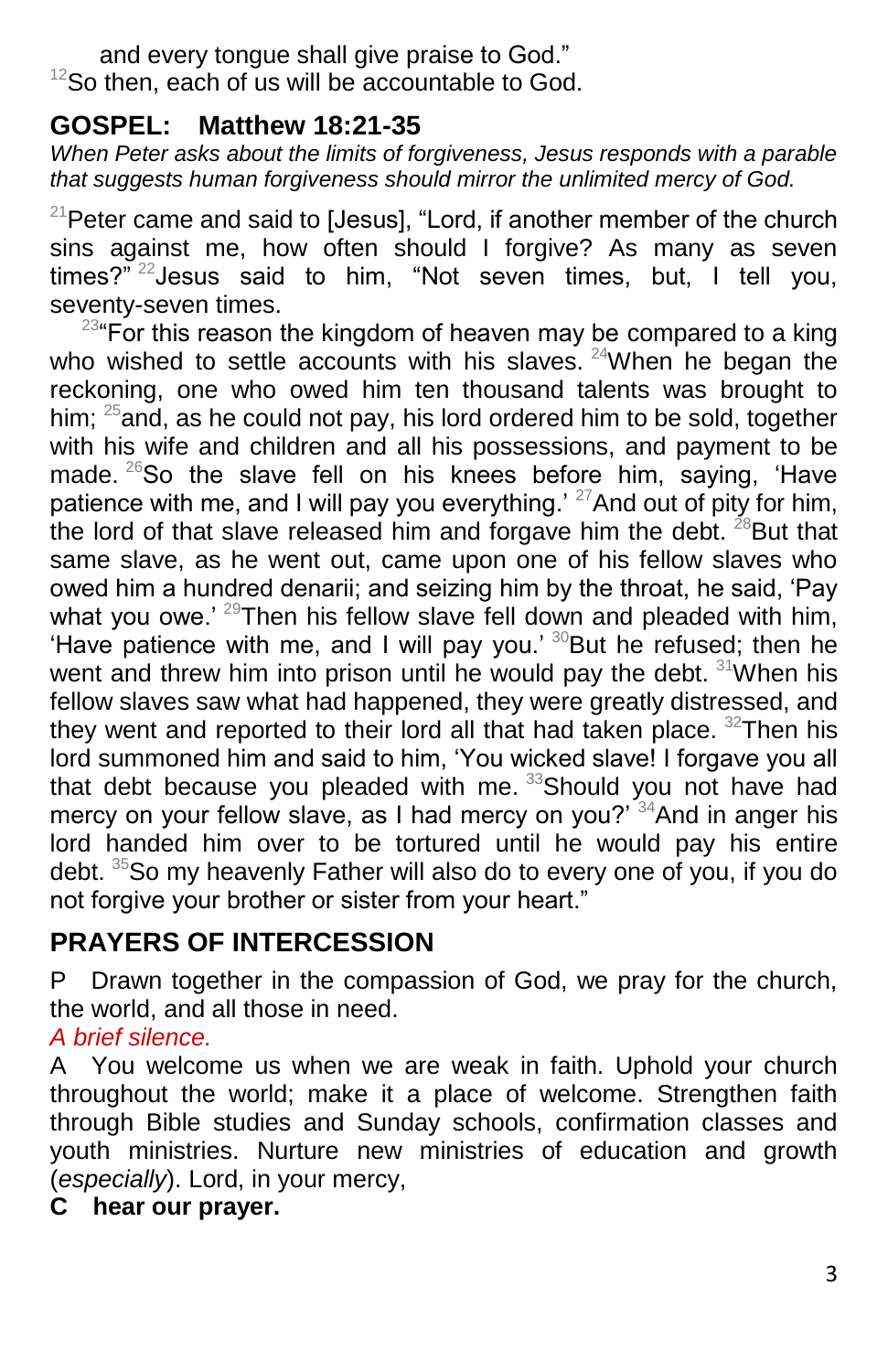and every tongue shall give praise to God."  $12$ So then, each of us will be accountable to God.

### **GOSPEL: Matthew 18:21-35**

*When Peter asks about the limits of forgiveness, Jesus responds with a parable that suggests human forgiveness should mirror the unlimited mercy of God.*

 $21$ Peter came and said to [Jesus], "Lord, if another member of the church sins against me, how often should I forgive? As many as seven times?<sup>" 22</sup>Jesus said to him, "Not seven times, but, I tell vou. seventy-seven times.

 $23^{\circ}$  For this reason the kingdom of heaven may be compared to a king who wished to settle accounts with his slaves.  $24$ When he began the reckoning, one who owed him ten thousand talents was brought to him:  $^{25}$ and, as he could not pay, his lord ordered him to be sold, together with his wife and children and all his possessions, and payment to be made.  $^{26}$ So the slave fell on his knees before him, saying, 'Have patience with me, and I will pay you everything.<sup>' 27</sup>And out of pity for him, the lord of that slave released him and forgave him the debt.  $^{28}$ But that same slave, as he went out, came upon one of his fellow slaves who owed him a hundred denarii; and seizing him by the throat, he said, 'Pay what you owe.<sup>' 29</sup>Then his fellow slave fell down and pleaded with him, 'Have patience with me, and I will pay you.'  $30$ But he refused; then he went and threw him into prison until he would pay the debt.  $31$ When his fellow slaves saw what had happened, they were greatly distressed, and they went and reported to their lord all that had taken place.  $32$ Then his lord summoned him and said to him, 'You wicked slave! I forgave you all that debt because you pleaded with me. <sup>33</sup>Should you not have had mercy on your fellow slave, as I had mercy on you?<sup>'34</sup>And in anger his lord handed him over to be tortured until he would pay his entire debt. <sup>35</sup>So my heavenly Father will also do to every one of you, if you do not forgive your brother or sister from your heart."

# **PRAYERS OF INTERCESSION**

P Drawn together in the compassion of God, we pray for the church, the world, and all those in need.

#### *A brief silence.*

A You welcome us when we are weak in faith. Uphold your church throughout the world; make it a place of welcome. Strengthen faith through Bible studies and Sunday schools, confirmation classes and youth ministries. Nurture new ministries of education and growth (*especially*). Lord, in your mercy,

## **C hear our prayer.**